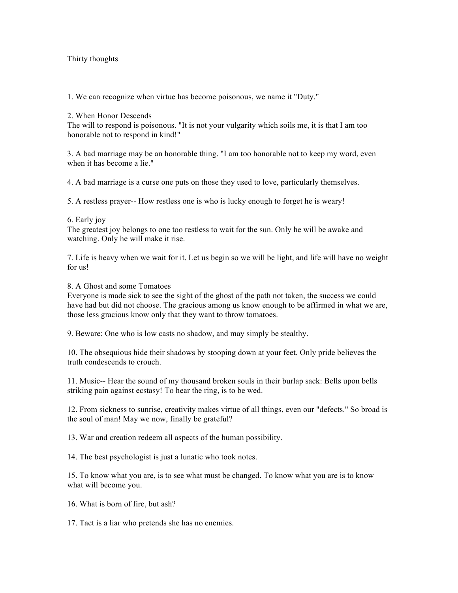## Thirty thoughts

1. We can recognize when virtue has become poisonous, we name it "Duty."

## 2. When Honor Descends

The will to respond is poisonous. "It is not your vulgarity which soils me, it is that I am too honorable not to respond in kind!"

3. A bad marriage may be an honorable thing. "I am too honorable not to keep my word, even when it has become a lie."

4. A bad marriage is a curse one puts on those they used to love, particularly themselves.

5. A restless prayer-- How restless one is who is lucky enough to forget he is weary!

## 6. Early joy

The greatest joy belongs to one too restless to wait for the sun. Only he will be awake and watching. Only he will make it rise.

7. Life is heavy when we wait for it. Let us begin so we will be light, and life will have no weight for us!

## 8. A Ghost and some Tomatoes

Everyone is made sick to see the sight of the ghost of the path not taken, the success we could have had but did not choose. The gracious among us know enough to be affirmed in what we are, those less gracious know only that they want to throw tomatoes.

9. Beware: One who is low casts no shadow, and may simply be stealthy.

10. The obsequious hide their shadows by stooping down at your feet. Only pride believes the truth condescends to crouch.

11. Music-- Hear the sound of my thousand broken souls in their burlap sack: Bells upon bells striking pain against ecstasy! To hear the ring, is to be wed.

12. From sickness to sunrise, creativity makes virtue of all things, even our "defects." So broad is the soul of man! May we now, finally be grateful?

13. War and creation redeem all aspects of the human possibility.

14. The best psychologist is just a lunatic who took notes.

15. To know what you are, is to see what must be changed. To know what you are is to know what will become you.

16. What is born of fire, but ash?

17. Tact is a liar who pretends she has no enemies.